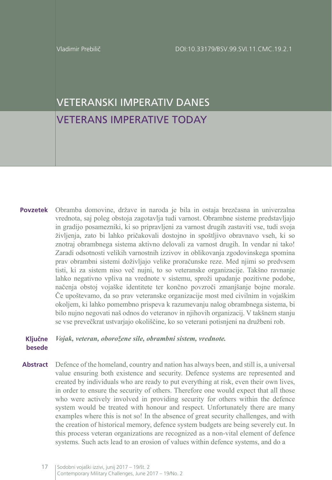# VETERANSKI IMPERATIV DANES VETERANS IMPERATIVE TODAY

Obramba domovine, države in naroda je bila in ostaja brezčasna in univerzalna vrednota, saj poleg obstoja zagotavlja tudi varnost. Obrambne sisteme predstavljajo in gradijo posamezniki, ki so pripravljeni za varnost drugih zastaviti vse, tudi svoja življenja, zato bi lahko pričakovali dostojno in spoštljivo obravnavo vseh, ki so znotraj obrambnega sistema aktivno delovali za varnost drugih. In vendar ni tako! Zaradi odsotnosti velikih varnostnih izzivov in oblikovanja zgodovinskega spomina prav obrambni sistemi doživljajo velike proračunske reze. Med njimi so predvsem tisti, ki za sistem niso več nujni, to so veteranske organizacije. Takšno ravnanje lahko negativno vpliva na vrednote v sistemu, sproži upadanje pozitivne podobe, načenja obstoj vojaške identitete ter končno povzroči zmanjšanje bojne morale. Če upoštevamo, da so prav veteranske organizacije most med civilnim in vojaškim okoljem, ki lahko pomembno prispeva k razumevanju nalog obrambnega sistema, bi bilo nujno negovati naš odnos do veteranov in njihovih organizacij. V takšnem stanju se vse prevečkrat ustvarjajo okoliščine, ko so veterani potisnjeni na družbeni rob. **Povzetek**

#### *Vojak, veteran, oborožene sile, obrambni sistem, vrednote.*  **Ključne besede**

Defence of the homeland, country and nation has always been, and still is, a universal value ensuring both existence and security. Defence systems are represented and created by individuals who are ready to put everything at risk, even their own lives, in order to ensure the security of others. Therefore one would expect that all those who were actively involved in providing security for others within the defence system would be treated with honour and respect. Unfortunately there are many examples where this is not so! In the absence of great security challenges, and with the creation of historical memory, defence system budgets are being severely cut. In this process veteran organizations are recognized as a non-vital element of defence systems. Such acts lead to an erosion of values within defence systems, and do a **Abstract**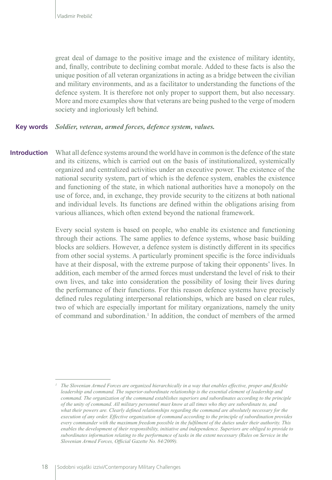great deal of damage to the positive image and the existence of military identity, and, finally, contribute to declining combat morale. Added to these facts is also the unique position of all veteran organizations in acting as a bridge between the civilian and military environments, and as a facilitator to understanding the functions of the defence system. It is therefore not only proper to support them, but also necessary. More and more examples show that veterans are being pushed to the verge of modern society and ingloriously left behind.

#### *Soldier, veteran, armed forces, defence system, values.*  **Key words**

What all defence systems around the world have in common is the defence of the state and its citizens, which is carried out on the basis of institutionalized, systemically organized and centralized activities under an executive power. The existence of the national security system, part of which is the defence system, enables the existence and functioning of the state, in which national authorities have a monopoly on the use of force, and, in exchange, they provide security to the citizens at both national and individual levels. Its functions are defined within the obligations arising from various alliances, which often extend beyond the national framework. **Introduction**

> Every social system is based on people, who enable its existence and functioning through their actions. The same applies to defence systems, whose basic building blocks are soldiers. However, a defence system is distinctly different in its specifics from other social systems. A particularly prominent specific is the force individuals have at their disposal, with the extreme purpose of taking their opponents' lives. In addition, each member of the armed forces must understand the level of risk to their own lives, and take into consideration the possibility of losing their lives during the performance of their functions. For this reason defence systems have precisely defined rules regulating interpersonal relationships, which are based on clear rules, two of which are especially important for military organizations, namely the unity of command and subordination.<sup>1</sup> In addition, the conduct of members of the armed

*<sup>1</sup> The Slovenian Armed Forces are organized hierarchically in a way that enables effective, proper and flexible leadership and command. The superior-subordinate relationship is the essential element of leadership and command. The organization of the command establishes superiors and subordinates according to the principle of the unity of command. All military personnel must know at all times who they are subordinate to, and what their powers are. Clearly defined relationships regarding the command are absolutely necessary for the execution of any order. Effective organization of command according to the principle of subordination provides every commander with the maximum freedom possible in the fulfilment of the duties under their authority. This*  enables the development of their responsibility, initiative and independence. Superiors are obliged to provide to *subordinates information relating to the performance of tasks in the extent necessary (Rules on Service in the Slovenian Armed Forces, Official Gazette No. 84/2009).*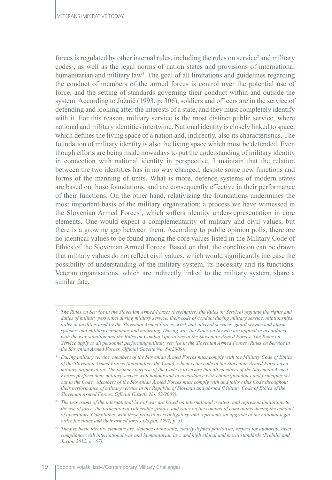forces is regulated by other internal rules, including the rules on service<sup>2</sup> and military codes3 , as well as the legal norms of nation states and provisions of international humanitarian and military law<sup>4</sup> . The goal of all limitations and guidelines regarding the conduct of members of the armed forces is control over the potential use of force, and the setting of standards governing their conduct within and outside the system. According to Južnič (1993, p. 306), soldiers and officers are in the service of defending and looking after the interests of a state, and they must completely identify with it. For this reason, military service is the most distinct public service, where national and military identities intertwine. National identity is closely linked to space, which defines the living space of a nation and, indirectly, also its characteristics. The foundation of military identity is also the living space which must be defended. Even though efforts are being made nowadays to put the understanding of military identity in connection with national identity in perspective, I maintain that the relation between the two identities has in no way changed, despite some new functions and forms of the manning of units. What is more, defence systems of modern states are based on those foundations, and are consequently effective in their performance of their functions. On the other hand, relativizing the foundations undermines the most important basis of the military organization; a process we have witnessed in the Slovenian Armed Forces<sup>5</sup>, which suffers identity under-representation in core elements. One would expect a complementarity of military and civil values, but there is a growing gap between them. According to public opinion polls, there are no identical values to be found among the core values listed in the Military Code of Ethics of the Slovenian Armed Forces. Based on that, the conclusion can be drawn that military values do not reflect civil values, which would significantly increase the possibility of understanding of the military system, its necessity and its functions. Veteran organisations, which are indirectly linked to the military system, share a similar fate.

*<sup>2</sup> The Rules on Service in the Slovenian Armed Forces (hereinafter: the Rules on Service) regulate the rights and duties of military personnel during military service, their code of conduct during military service, relationships, order in facilities used by the Slovenian Armed Forces, work and internal services, guard service and alarm systems, and military ceremonies and mourning. During war, the Rules on Service are applied in accordance with the war situation and the Rules on Combat Operations of the Slovenian Armed Forces. The Rules on Service apply to all personnel performing military service in the Slovenian Armed Forces (Rules on Service in the Slovenian Armed Forces, Official Gazette No. 84/2009).*

*<sup>3</sup> During military service, members of the Slovenian Armed Forces must comply with the Military Code of Ethics of the Slovenian Armed Forces (hereinafter: the Code), which is the code of the Slovenian Armed Forces as a military organization. The primary purpose of the Code is to ensure that all members of the Slovenian Armed Forces perform their military service with honour and in accordance with ethnic guidelines and principles set out in the Code. Members of the Slovenian Armed Forces must comply with and follow this Code throughout their performance of military service in the Republic of Slovenia and abroad (Military Code of Ethics of the Slovenian Armed Forces, Official Gazette No. 52/2009).*

*<sup>4</sup> The provisions of the international law of war are based on international treaties, and represent limitations to the use of force, the protection of vulnerable groups, and rules on the conduct of combatants during the conduct of operations. Compliance with these provisions is obligatory, and represents an upgrade of the national legal order for states and their armed forces (Jogan, 1997, p. 3).*

*<sup>5</sup> The five basic identity elements are: defence of the state, clearly defined patriotism, respect for authority, strict compliance with international war and humanitarian law, and high ethical and moral standards (Prebilič and Juvan, 2012, p. 67).*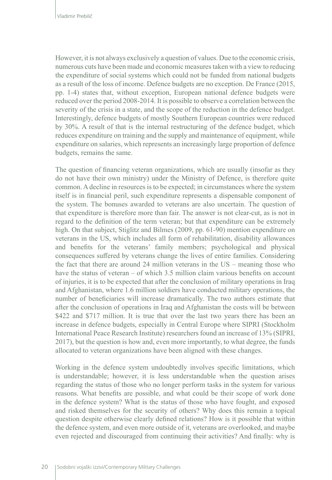However, it is not always exclusively a question of values. Due to the economic crisis, numerous cuts have been made and economic measures taken with a view to reducing the expenditure of social systems which could not be funded from national budgets as a result of the loss of income. Defence budgets are no exception. De France (2015, pp. 1-4) states that, without exception, European national defence budgets were reduced over the period 2008-2014. It is possible to observe a correlation between the severity of the crisis in a state, and the scope of the reduction in the defence budget. Interestingly, defence budgets of mostly Southern European countries were reduced by 30%. A result of that is the internal restructuring of the defence budget, which reduces expenditure on training and the supply and maintenance of equipment, while expenditure on salaries, which represents an increasingly large proportion of defence budgets, remains the same.

The question of financing veteran organizations, which are usually (insofar as they do not have their own ministry) under the Ministry of Defence, is therefore quite common. A decline in resources is to be expected; in circumstances where the system itself is in financial peril, such expenditure represents a dispensable component of the system. The bonuses awarded to veterans are also uncertain. The question of that expenditure is therefore more than fair. The answer is not clear-cut, as is not in regard to the definition of the term veteran; but that expenditure can be extremely high. On that subject, Stiglitz and Bilmes (2009, pp. 61-90) mention expenditure on veterans in the US, which includes all form of rehabilitation, disability allowances and benefits for the veterans' family members; psychological and physical consequences suffered by veterans change the lives of entire families. Considering the fact that there are around 24 million veterans in the US – meaning those who have the status of veteran – of which 3.5 million claim various benefits on account of injuries, it is to be expected that after the conclusion of military operations in Iraq and Afghanistan, where 1.6 million soldiers have conducted military operations, the number of beneficiaries will increase dramatically. The two authors estimate that after the conclusion of operations in Iraq and Afghanistan the costs will be between \$422 and \$717 million. It is true that over the last two years there has been an increase in defence budgets, especially in Central Europe where SIPRI (Stockholm International Peace Research Institute) researchers found an increase of 13% (SIPRI, 2017), but the question is how and, even more importantly, to what degree, the funds allocated to veteran organizations have been aligned with these changes.

Working in the defence system undoubtedly involves specific limitations, which is understandable; however, it is less understandable when the question arises regarding the status of those who no longer perform tasks in the system for various reasons. What benefits are possible, and what could be their scope of work done in the defence system? What is the status of those who have fought, and exposed and risked themselves for the security of others? Why does this remain a topical question despite otherwise clearly defined relations? How is it possible that within the defence system, and even more outside of it, veterans are overlooked, and maybe even rejected and discouraged from continuing their activities? And finally: why is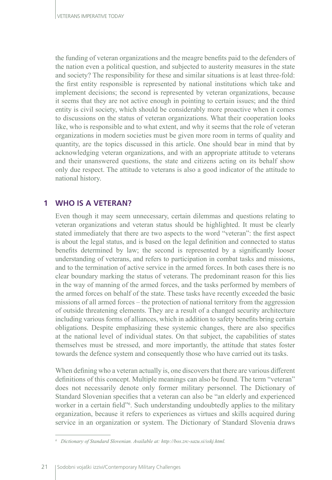the funding of veteran organizations and the meagre benefits paid to the defenders of the nation even a political question, and subjected to austerity measures in the state and society? The responsibility for these and similar situations is at least three-fold: the first entity responsible is represented by national institutions which take and implement decisions; the second is represented by veteran organizations, because it seems that they are not active enough in pointing to certain issues; and the third entity is civil society, which should be considerably more proactive when it comes to discussions on the status of veteran organizations. What their cooperation looks like, who is responsible and to what extent, and why it seems that the role of veteran organizations in modern societies must be given more room in terms of quality and quantity, are the topics discussed in this article. One should bear in mind that by acknowledging veteran organizations, and with an appropriate attitude to veterans and their unanswered questions, the state and citizens acting on its behalf show only due respect. The attitude to veterans is also a good indicator of the attitude to national history.

## **1 WHO IS A VETERAN?**

Even though it may seem unnecessary, certain dilemmas and questions relating to veteran organizations and veteran status should be highlighted. It must be clearly stated immediately that there are two aspects to the word "veteran": the first aspect is about the legal status, and is based on the legal definition and connected to status benefits determined by law; the second is represented by a significantly looser understanding of veterans, and refers to participation in combat tasks and missions, and to the termination of active service in the armed forces. In both cases there is no clear boundary marking the status of veterans. The predominant reason for this lies in the way of manning of the armed forces, and the tasks performed by members of the armed forces on behalf of the state. These tasks have recently exceeded the basic missions of all armed forces – the protection of national territory from the aggression of outside threatening elements. They are a result of a changed security architecture including various forms of alliances, which in addition to safety benefits bring certain obligations. Despite emphasizing these systemic changes, there are also specifics at the national level of individual states. On that subject, the capabilities of states themselves must be stressed, and more importantly, the attitude that states foster towards the defence system and consequently those who have carried out its tasks.

When defining who a veteran actually is, one discovers that there are various different definitions of this concept. Multiple meanings can also be found. The term "veteran" does not necessarily denote only former military personnel. The Dictionary of Standard Slovenian specifies that a veteran can also be "an elderly and experienced worker in a certain field"<sup>6</sup>. Such understanding undoubtedly applies to the military organization, because it refers to experiences as virtues and skills acquired during service in an organization or system. The Dictionary of Standard Slovenia draws

*<sup>6</sup> Dictionary of Standard Slovenian. Available at: http://bos.zrc-sazu.si/sskj.html.*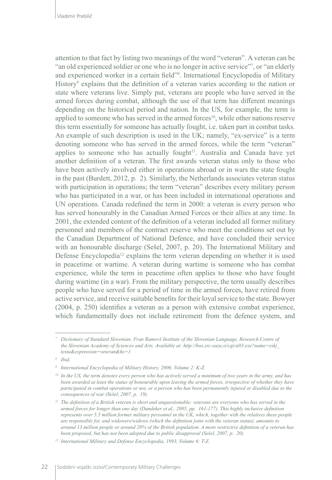attention to that fact by listing two meanings of the word "veteran". A veteran can be "an old experienced soldier or one who is no longer in active service"7 , or "an elderly and experienced worker in a certain field"8 . International Encyclopedia of Military History<sup>9</sup> explains that the definition of a veteran varies according to the nation or state where veterans live. Simply put, veterans are people who have served in the armed forces during combat, although the use of that term has different meanings depending on the historical period and nation. In the US, for example, the term is applied to someone who has served in the armed forces<sup>10</sup>, while other nations reserve this term essentially for someone has actually fought, i.e. taken part in combat tasks. An example of such description is used in the UK; namely, "ex-service" is a term denoting someone who has served in the armed forces, while the term "veteran" applies to someone who has actually fought<sup>11</sup>. Australia and Canada have yet another definition of a veteran. The first awards veteran status only to those who have been actively involved either in operations abroad or in wars the state fought in the past (Burdett, 2012, p. 2). Similarly, the Netherlands associates veteran status with participation in operations; the term "veteran" describes every military person who has participated in a war, or has been included in international operations and UN operations. Canada redefined the term in 2000: a veteran is every person who has served honourably in the Canadian Armed Forces or their allies at any time. In 2001, the extended content of the definition of a veteran included all former military personnel and members of the contract reserve who meet the conditions set out by the Canadian Department of National Defence, and have concluded their service with an honourable discharge (Sešel, 2007, p. 20). The International Military and Defense Encyclopedia<sup>12</sup> explains the term veteran depending on whether it is used in peacetime or wartime. A veteran during wartime is someone who has combat experience, while the term in peacetime often applies to those who have fought during wartime (in a war). From the military perspective, the term usually describes people who have served for a period of time in the armed forces, have retired from active service, and receive suitable benefits for their loyal service to the state. Bowyer (2004, p. 250) identifies a veteran as a person with extensive combat experience, which fundamentally does not include retirement from the defence system, and

*<sup>7</sup> Dictionary of Standard Slovenian. Fran Ramovš Institute of the Slovenian Language, Research Centre of the Slovenian Academy of Sciences and Arts. Available at: http://bos.zrc-sazu.si/cgi/a03.exe?name=sskj\_ testa&expression=veteran&hs=1*

*<sup>8</sup> Ibid.*

*<sup>9</sup> International Encyclopedia of Military History, 2006, Volume 2: K-Z.*

*<sup>10</sup> In the US, the term denotes every person who has actively served a minimum of two years in the army, and has been awarded at least the status of honourable upon leaving the armed forces, irrespective of whether they have participated in combat operations or not, or a person who has been permanently injured or disabled due to the consequences of war (Sešel, 2007, p. 19).*

<sup>&</sup>lt;sup>11</sup> *The definition of a British veteran is short and unquestionable: veterans are everyone who has served in the armed forces for longer than one day (Dandeker et al., 2005, pp. 161-177). This highly inclusive definition represents over 5.5 million former military personnel in the UK, which, together with the relatives these people are responsible for, and widowers/widows (which the definition joins with the veteran status), amounts to around 13 million people or around 20% of the British population. A more restrictive definition of a veteran has been proposed, but has not been adopted due to public disapproval (Sešel, 2007, p. 20).*

*<sup>12</sup> International Military and Defense Encyclopedia, 1993, Volume 6: T-Z.*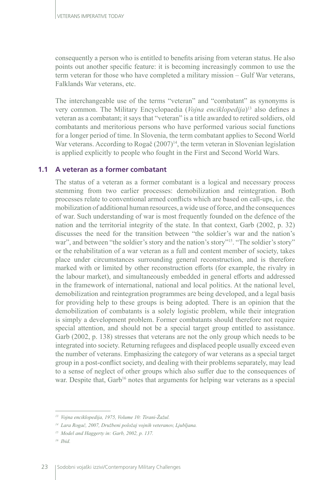consequently a person who is entitled to benefits arising from veteran status. He also points out another specific feature: it is becoming increasingly common to use the term veteran for those who have completed a military mission – Gulf War veterans, Falklands War veterans, etc.

The interchangeable use of the terms "veteran" and "combatant" as synonyms is very common. The Military Encyclopaedia (*Vojna enciklopedija*)13 also defines a veteran as a combatant; it says that "veteran" is a title awarded to retired soldiers, old combatants and meritorious persons who have performed various social functions for a longer period of time. In Slovenia, the term combatant applies to Second World War veterans. According to Rogač (2007)<sup>14</sup>, the term veteran in Slovenian legislation is applied explicitly to people who fought in the First and Second World Wars.

#### **1.1 A veteran as a former combatant**

The status of a veteran as a former combatant is a logical and necessary process stemming from two earlier processes: demobilization and reintegration. Both processes relate to conventional armed conflicts which are based on call-ups, i.e. the mobilization of additional human resources, a wide use of force, and the consequences of war. Such understanding of war is most frequently founded on the defence of the nation and the territorial integrity of the state. In that context, Garb (2002, p. 32) discusses the need for the transition between "the soldier's war and the nation's war", and between "the soldier's story and the nation's story"<sup>15</sup>. "The soldier's story" or the rehabilitation of a war veteran as a full and content member of society, takes place under circumstances surrounding general reconstruction, and is therefore marked with or limited by other reconstruction efforts (for example, the rivalry in the labour market), and simultaneously embedded in general efforts and addressed in the framework of international, national and local politics. At the national level, demobilization and reintegration programmes are being developed, and a legal basis for providing help to these groups is being adopted. There is an opinion that the demobilization of combatants is a solely logistic problem, while their integration is simply a development problem. Former combatants should therefore not require special attention, and should not be a special target group entitled to assistance. Garb (2002, p. 138) stresses that veterans are not the only group which needs to be integrated into society. Returning refugees and displaced people usually exceed even the number of veterans. Emphasizing the category of war veterans as a special target group in a post-conflict society, and dealing with their problems separately, may lead to a sense of neglect of other groups which also suffer due to the consequences of war. Despite that, Garb<sup>16</sup> notes that arguments for helping war veterans as a special

*<sup>13</sup> Vojna enciklopedija, 1975, Volume 10: Tirani-Žažul.*

*<sup>14</sup> Lara Rogač, 2007, Družbeni položaj vojnih veteranov, Ljubljana.*

*<sup>15</sup> Model and Haggerty in: Garb, 2002, p. 137.*

*<sup>16</sup> Ibid.*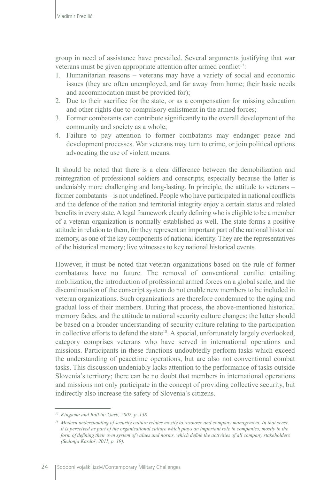group in need of assistance have prevailed. Several arguments justifying that war veterans must be given appropriate attention after armed conflict<sup>17</sup>:

- 1. Humanitarian reasons veterans may have a variety of social and economic issues (they are often unemployed, and far away from home; their basic needs and accommodation must be provided for);
- 2. Due to their sacrifice for the state, or as a compensation for missing education and other rights due to compulsory enlistment in the armed forces;
- 3. Former combatants can contribute significantly to the overall development of the community and society as a whole;
- 4. Failure to pay attention to former combatants may endanger peace and development processes. War veterans may turn to crime, or join political options advocating the use of violent means.

It should be noted that there is a clear difference between the demobilization and reintegration of professional soldiers and conscripts; especially because the latter is undeniably more challenging and long-lasting. In principle, the attitude to veterans – former combatants – is not undefined. People who have participated in national conflicts and the defence of the nation and territorial integrity enjoy a certain status and related benefits in every state. A legal framework clearly defining who is eligible to be a member of a veteran organization is normally established as well. The state forms a positive attitude in relation to them, for they represent an important part of the national historical memory, as one of the key components of national identity. They are the representatives of the historical memory; live witnesses to key national historical events.

However, it must be noted that veteran organizations based on the rule of former combatants have no future. The removal of conventional conflict entailing mobilization, the introduction of professional armed forces on a global scale, and the discontinuation of the conscript system do not enable new members to be included in veteran organizations. Such organizations are therefore condemned to the aging and gradual loss of their members. During that process, the above-mentioned historical memory fades, and the attitude to national security culture changes; the latter should be based on a broader understanding of security culture relating to the participation in collective efforts to defend the state<sup>18</sup>. A special, unfortunately largely overlooked, category comprises veterans who have served in international operations and missions. Participants in these functions undoubtedly perform tasks which exceed the understanding of peacetime operations, but are also not conventional combat tasks. This discussion undeniably lacks attention to the performance of tasks outside Slovenia's territory; there can be no doubt that members in international operations and missions not only participate in the concept of providing collective security, but indirectly also increase the safety of Slovenia's citizens.

*<sup>17</sup> Kingama and Ball in: Garb, 2002, p. 138.*

*<sup>18</sup> Modern understanding of security culture relates mostly to resource and company management. In that sense it is perceived as part of the organizational culture which plays an important role in companies, mostly in the form of defining their own system of values and norms, which define the activities of all company stakeholders (Sedonja Kardoš, 2011, p. 19).*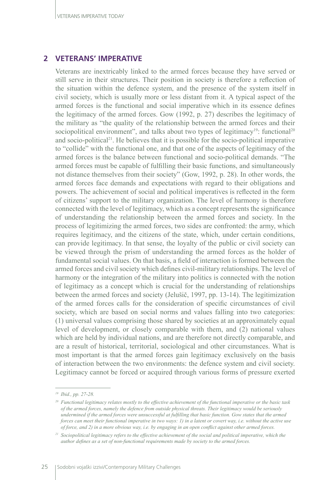### **2 VETERANS' IMPERATIVE**

Veterans are inextricably linked to the armed forces because they have served or still serve in their structures. Their position in society is therefore a reflection of the situation within the defence system, and the presence of the system itself in civil society, which is usually more or less distant from it. A typical aspect of the armed forces is the functional and social imperative which in its essence defines the legitimacy of the armed forces. Gow (1992, p. 27) describes the legitimacy of the military as "the quality of the relationship between the armed forces and their sociopolitical environment", and talks about two types of legitimacy<sup>19</sup>: functional<sup>20</sup> and socio-political<sup>21</sup>. He believes that it is possible for the socio-political imperative to "collide" with the functional one, and that one of the aspects of legitimacy of the armed forces is the balance between functional and socio-political demands. "The armed forces must be capable of fulfilling their basic functions, and simultaneously not distance themselves from their society" (Gow, 1992, p. 28). In other words, the armed forces face demands and expectations with regard to their obligations and powers. The achievement of social and political imperatives is reflected in the form of citizens' support to the military organization. The level of harmony is therefore connected with the level of legitimacy, which as a concept represents the significance of understanding the relationship between the armed forces and society. In the process of legitimizing the armed forces, two sides are confronted: the army, which requires legitimacy, and the citizens of the state, which, under certain conditions, can provide legitimacy. In that sense, the loyalty of the public or civil society can be viewed through the prism of understanding the armed forces as the holder of fundamental social values. On that basis, a field of interaction is formed between the armed forces and civil society which defines civil-military relationships. The level of harmony or the integration of the military into politics is connected with the notion of legitimacy as a concept which is crucial for the understanding of relationships between the armed forces and society (Jelušič, 1997, pp. 13-14). The legitimization of the armed forces calls for the consideration of specific circumstances of civil society, which are based on social norms and values falling into two categories: (1) universal values comprising those shared by societies at an approximately equal level of development, or closely comparable with them, and (2) national values which are held by individual nations, and are therefore not directly comparable, and are a result of historical, territorial, sociological and other circumstances. What is most important is that the armed forces gain legitimacy exclusively on the basis of interaction between the two environments: the defence system and civil society. Legitimacy cannot be forced or acquired through various forms of pressure exerted

*<sup>19</sup> Ibid., pp. 27-28.*

*<sup>20</sup> Functional legitimacy relates mostly to the effective achievement of the functional imperative or the basic task of the armed forces, namely the defence from outside physical threats. Their legitimacy would be seriously undermined if the armed forces were unsuccessful at fulfilling that basic function. Gow states that the armed forces can meet their functional imperative in two ways: 1) in a latent or covert way, i.e. without the active use of force, and 2) in a more obvious way, i.e. by engaging in an open conflict against other armed forces.*

*<sup>21</sup> Sociopolitical legitimacy refers to the effective achievement of the social and political imperative, which the author defines as a set of non-functional requirements made by society to the armed forces.*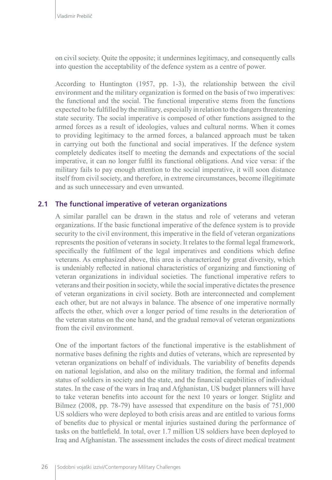on civil society. Quite the opposite; it undermines legitimacy, and consequently calls into question the acceptability of the defence system as a centre of power.

According to Huntington (1957, pp. 1-3), the relationship between the civil environment and the military organization is formed on the basis of two imperatives: the functional and the social. The functional imperative stems from the functions expected to be fulfilled by the military, especially in relation to the dangers threatening state security. The social imperative is composed of other functions assigned to the armed forces as a result of ideologies, values and cultural norms. When it comes to providing legitimacy to the armed forces, a balanced approach must be taken in carrying out both the functional and social imperatives. If the defence system completely dedicates itself to meeting the demands and expectations of the social imperative, it can no longer fulfil its functional obligations. And vice versa: if the military fails to pay enough attention to the social imperative, it will soon distance itself from civil society, and therefore, in extreme circumstances, become illegitimate and as such unnecessary and even unwanted.

#### **2.1 The functional imperative of veteran organizations**

A similar parallel can be drawn in the status and role of veterans and veteran organizations. If the basic functional imperative of the defence system is to provide security to the civil environment, this imperative in the field of veteran organizations represents the position of veterans in society. It relates to the formal legal framework, specifically the fulfilment of the legal imperatives and conditions which define veterans. As emphasized above, this area is characterized by great diversity, which is undeniably reflected in national characteristics of organizing and functioning of veteran organizations in individual societies. The functional imperative refers to veterans and their position in society, while the social imperative dictates the presence of veteran organizations in civil society. Both are interconnected and complement each other, but are not always in balance. The absence of one imperative normally affects the other, which over a longer period of time results in the deterioration of the veteran status on the one hand, and the gradual removal of veteran organizations from the civil environment.

One of the important factors of the functional imperative is the establishment of normative bases defining the rights and duties of veterans, which are represented by veteran organizations on behalf of individuals. The variability of benefits depends on national legislation, and also on the military tradition, the formal and informal status of soldiers in society and the state, and the financial capabilities of individual states. In the case of the wars in Iraq and Afghanistan, US budget planners will have to take veteran benefits into account for the next 10 years or longer. Stiglitz and Bilmez (2008, pp. 78-79) have assessed that expenditure on the basis of 751,000 US soldiers who were deployed to both crisis areas and are entitled to various forms of benefits due to physical or mental injuries sustained during the performance of tasks on the battlefield. In total, over 1.7 million US soldiers have been deployed to Iraq and Afghanistan. The assessment includes the costs of direct medical treatment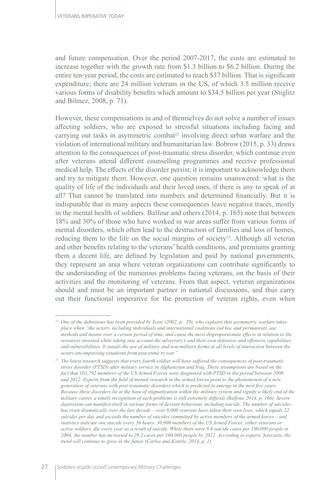and future compensation. Over the period 2007-2017, the costs are estimated to increase together with the growth rate from \$1.3 billion to \$6.2 billion. During the entire ten-year period, the costs are estimated to reach \$37 billion. That is significant expenditure; there are 24 million veterans in the US, of which 3.5 million receive various forms of disability benefits which amount to \$34.5 billion per year (Stiglitz and Bilmez, 2008, p. 71).

However, these compensations in and of themselves do not solve a number of issues affecting soldiers, who are exposed to stressful situations including facing and carrying out tasks in asymmetric combat<sup>22</sup> involving direct urban warfare and the violation of international military and humanitarian law. Bobrow (2015, p. 33) draws attention to the consequences of post-traumatic stress disorder, which continue even after veterans attend different counselling programmes and receive professional medical help. The effects of the disorder persist; it is important to acknowledge them and try to mitigate them. However, one question remains unanswered: what is the quality of life of the individuals and their loved ones, if there is any to speak of at all? That cannot be translated into numbers and determined financially. But it is indisputable that in many aspects these consequences leave negative traces, mostly in the mental health of soldiers. Balfour and others (2014, p. 165) note that between 18% and 30% of those who have worked in war areas suffer from various forms of mental disorders, which often lead to the destruction of families and loss of homes, reducing them to the life on the social margins of society<sup>23</sup>. Although all veteran and other benefits relating to the veterans' health conditions, and premiums granting them a decent life, are defined by legislation and paid by national governments, they represent an area where veteran organizations can contribute significantly to the understanding of the numerous problems facing veterans, on the basis of their activities and the monitoring of veterans. From that aspect, veteran organizations should and must be an important partner in national discussions, and thus carry out their functional imperative for the protection of veteran rights, even when

*<sup>22</sup> One of the definitions has been provided by Svete (2002, p. 29), who explains that asymmetric warfare takes place when "the actors, including individuals and international coalitions (ad hoc and permanent), use methods and means over a certain period of time, and cause the most disproportionate effects in relation to the resources invested while taking into account the adversary's and their own defensive and offensive capabilities and vulnerabilities. It entails the use of military and non-military forms at all levels of interaction between the actors encompassing situations from peacetime to war."*

*<sup>23</sup> The latest research suggests that every fourth soldier will have suffered the consequences of post-traumatic stress disorder (PTSD) after military service in Afghanistan and Iraq. These assumptions are based on the fact that 103,792 members of the US Armed Forces were diagnosed with PTSD in the period between 2000 and 2012. Experts from the field of mental research in the armed forces point to the phenomenon of a new generation of veterans with post-traumatic disorders which is predicted to emerge in the next five years. Because these disorders lie at the base of stigmatization within the military system and signify a likely end of the military career, a timely recognition of such problems is still extremely difficult (Balfour, 2014, p. 166). Severe depression can manifest itself in various forms of deviant behaviour, including suicide. The number of suicides has risen dramatically over the last decade – over 8,000 veterans have taken their own lives, which equals 22 suicides per day and exceeds the number of suicides committed by active members of the armed forces – and statistics indicate one suicide every 36 hours. 30,000 members of the US Armed Forces, either veterans or active soldiers, die every year as a result of suicide. While there were 9.6 suicide cases per 100,000 people in 2004, the number has increased to 29.2 cases per 100,000 people by 2012. According to experts' forecasts, the trend will continue to grow in the future (Carlos and Kintzle, 2014, p. 1).*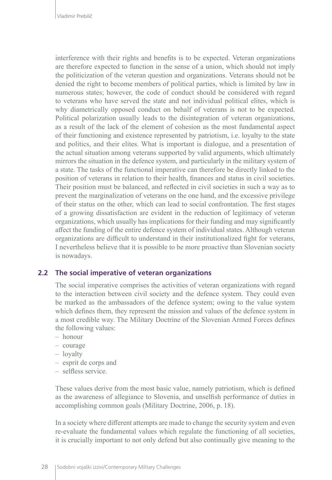interference with their rights and benefits is to be expected. Veteran organizations are therefore expected to function in the sense of a union, which should not imply the politicization of the veteran question and organizations. Veterans should not be denied the right to become members of political parties, which is limited by law in numerous states; however, the code of conduct should be considered with regard to veterans who have served the state and not individual political elites, which is why diametrically opposed conduct on behalf of veterans is not to be expected. Political polarization usually leads to the disintegration of veteran organizations, as a result of the lack of the element of cohesion as the most fundamental aspect of their functioning and existence represented by patriotism, i.e. loyalty to the state and politics, and their elites. What is important is dialogue, and a presentation of the actual situation among veterans supported by valid arguments, which ultimately mirrors the situation in the defence system, and particularly in the military system of a state. The tasks of the functional imperative can therefore be directly linked to the position of veterans in relation to their health, finances and status in civil societies. Their position must be balanced, and reflected in civil societies in such a way as to prevent the marginalization of veterans on the one hand, and the excessive privilege of their status on the other, which can lead to social confrontation. The first stages of a growing dissatisfaction are evident in the reduction of legitimacy of veteran organizations, which usually has implications for their funding and may significantly affect the funding of the entire defence system of individual states. Although veteran organizations are difficult to understand in their institutionalized fight for veterans, I nevertheless believe that it is possible to be more proactive than Slovenian society is nowadays.

#### **2.2 The social imperative of veteran organizations**

The social imperative comprises the activities of veteran organizations with regard to the interaction between civil society and the defence system. They could even be marked as the ambassadors of the defence system; owing to the value system which defines them, they represent the mission and values of the defence system in a most credible way. The Military Doctrine of the Slovenian Armed Forces defines the following values:

- honour
- courage
- loyalty
- esprit de corps and
- selfless service.

These values derive from the most basic value, namely patriotism, which is defined as the awareness of allegiance to Slovenia, and unselfish performance of duties in accomplishing common goals (Military Doctrine, 2006, p. 18).

In a society where different attempts are made to change the security system and even re-evaluate the fundamental values which regulate the functioning of all societies, it is crucially important to not only defend but also continually give meaning to the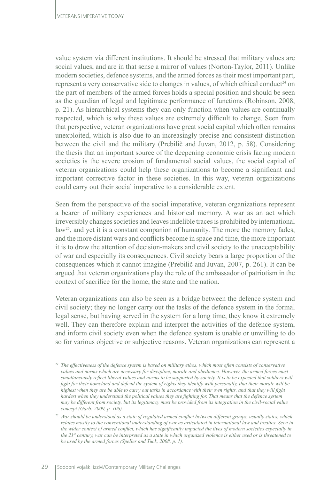value system via different institutions. It should be stressed that military values are social values, and are in that sense a mirror of values (Norton-Taylor, 2011). Unlike modern societies, defence systems, and the armed forces as their most important part, represent a very conservative side to changes in values, of which ethical conduct<sup>24</sup> on the part of members of the armed forces holds a special position and should be seen as the guardian of legal and legitimate performance of functions (Robinson, 2008, p. 21). As hierarchical systems they can only function when values are continually respected, which is why these values are extremely difficult to change. Seen from that perspective, veteran organizations have great social capital which often remains unexploited, which is also due to an increasingly precise and consistent distinction between the civil and the military (Prebilič and Juvan, 2012, p. 58). Considering the thesis that an important source of the deepening economic crisis facing modern societies is the severe erosion of fundamental social values, the social capital of veteran organizations could help these organizations to become a significant and important corrective factor in these societies. In this way, veteran organizations could carry out their social imperative to a considerable extent.

Seen from the perspective of the social imperative, veteran organizations represent a bearer of military experiences and historical memory. A war as an act which irreversibly changes societies and leaves indelible traces is prohibited by international law<sup>25</sup>, and yet it is a constant companion of humanity. The more the memory fades, and the more distant wars and conflicts become in space and time, the more important it is to draw the attention of decision-makers and civil society to the unacceptability of war and especially its consequences. Civil society bears a large proportion of the consequences which it cannot imagine (Prebilič and Juvan, 2007, p. 261). It can be argued that veteran organizations play the role of the ambassador of patriotism in the context of sacrifice for the home, the state and the nation.

Veteran organizations can also be seen as a bridge between the defence system and civil society; they no longer carry out the tasks of the defence system in the formal legal sense, but having served in the system for a long time, they know it extremely well. They can therefore explain and interpret the activities of the defence system, and inform civil society even when the defence system is unable or unwilling to do so for various objective or subjective reasons. Veteran organizations can represent a

*<sup>24</sup> The effectiveness of the defence system is based on military ethos, which most often consists of conservative values and norms which are necessary for discipline, morale and obedience. However, the armed forces must simultaneously reflect liberal values and norms to be supported by society. It is to be expected that soldiers will fight for their homeland and defend the system of rights they identify with personally, that their morale will be highest when they are be able to carry out tasks in accordance with their own rights, and that they will fight hardest when they understand the political values they are fighting for. That means that the defence system may be different from society, but its legitimacy must be provided from its integration in the civil-social value concept (Garb: 2009, p. 106).*

*<sup>25</sup> War should be understood as a state of regulated armed conflict between different groups, usually states, which relates mostly to the conventional understanding of war as articulated in international law and treaties. Seen in the wider context of armed conflict, which has significantly impacted the lives of modern societies especially in the 21st century, war can be interpreted as a state in which organized violence is either used or is threatened to be used by the armed forces (Speller and Tuck, 2008, p. 1).*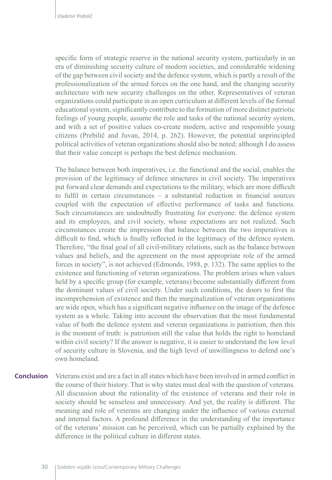specific form of strategic reserve in the national security system, particularly in an era of diminishing security culture of modern societies, and considerable widening of the gap between civil society and the defence system, which is partly a result of the professionalization of the armed forces on the one hand, and the changing security architecture with new security challenges on the other. Representatives of veteran organizations could participate in an open curriculum at different levels of the formal educational system, significantly contribute to the formation of more distinct patriotic feelings of young people, assume the role and tasks of the national security system, and with a set of positive values co-create modern, active and responsible young citizens (Prebilič and Juvan, 2014, p. 262). However, the potential unprincipled political activities of veteran organizations should also be noted; although I do assess that their value concept is perhaps the best defence mechanism.

The balance between both imperatives, i.e. the functional and the social, enables the provision of the legitimacy of defence structures in civil society. The imperatives put forward clear demands and expectations to the military, which are more difficult to fulfil in certain circumstances – a substantial reduction in financial sources coupled with the expectation of effective performance of tasks and functions. Such circumstances are undoubtedly frustrating for everyone: the defence system and its employees, and civil society, whose expectations are not realized. Such circumstances create the impression that balance between the two imperatives is difficult to find, which is finally reflected in the legitimacy of the defence system. Therefore, "the final goal of all civil-military relations, such as the balance between values and beliefs, and the agreement on the most appropriate role of the armed forces in society", is not achieved (Edmonds, 1988, p. 132). The same applies to the existence and functioning of veteran organizations. The problem arises when values held by a specific group (for example, veterans) become substantially different from the dominant values of civil society. Under such conditions, the doors to first the incomprehension of existence and then the marginalization of veteran organizations are wide open, which has a significant negative influence on the image of the defence system as a whole. Taking into account the observation that the most fundamental value of both the defence system and veteran organizations is patriotism, then this is the moment of truth: is patriotism still the value that holds the right to homeland within civil society? If the answer is negative, it is easier to understand the low level of security culture in Slovenia, and the high level of unwillingness to defend one's own homeland.

Veterans exist and are a fact in all states which have been involved in armed conflict in the course of their history. That is why states must deal with the question of veterans. All discussion about the rationality of the existence of veterans and their role in society should be senseless and unnecessary. And yet, the reality is different. The meaning and role of veterans are changing under the influence of various external and internal factors. A profound difference in the understanding of the importance of the veterans' mission can be perceived, which can be partially explained by the difference in the political culture in different states. **Conclusion**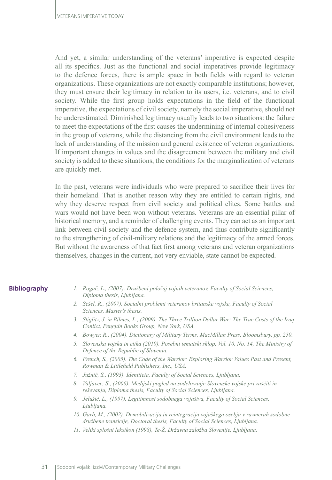And yet, a similar understanding of the veterans' imperative is expected despite all its specifics. Just as the functional and social imperatives provide legitimacy to the defence forces, there is ample space in both fields with regard to veteran organizations. These organizations are not exactly comparable institutions; however, they must ensure their legitimacy in relation to its users, i.e. veterans, and to civil society. While the first group holds expectations in the field of the functional imperative, the expectations of civil society, namely the social imperative, should not be underestimated. Diminished legitimacy usually leads to two situations: the failure to meet the expectations of the first causes the undermining of internal cohesiveness in the group of veterans, while the distancing from the civil environment leads to the lack of understanding of the mission and general existence of veteran organizations. If important changes in values and the disagreement between the military and civil society is added to these situations, the conditions for the marginalization of veterans are quickly met.

In the past, veterans were individuals who were prepared to sacrifice their lives for their homeland. That is another reason why they are entitled to certain rights, and why they deserve respect from civil society and political elites. Some battles and wars would not have been won without veterans. Veterans are an essential pillar of historical memory, and a reminder of challenging events. They can act as an important link between civil society and the defence system, and thus contribute significantly to the strengthening of civil-military relations and the legitimacy of the armed forces. But without the awareness of that fact first among veterans and veteran organizations themselves, changes in the current, not very enviable, state cannot be expected.

#### **Bibliography**

- *1. Rogač, L., (2007). Družbeni položaj vojnih veteranov, Faculty of Social Sciences, Diploma thesis, Ljubljana.*
- *2. Sešel, R., (2007). Socialni problemi veteranov britanske vojske, Faculty of Social Sciences, Master's thesis.*
- *3. Stiglitz, J. in Bilmes, L., (2009). The Three Trillion Dollar War: The True Costs of the Iraq Conlict, Penguin Books Group, New York, USA.*
- *4. Bowyer, R., (2004). Dictionary of Military Terms, MacMillan Press, Bloomsbury, pp. 250.*
- *5. Slovenska vojska in etika (2010). Posebni tematski sklop, Vol. 10, No. 14, The Ministry of Defence of the Republic of Slovenia.*
- *6. French, S., (2005). The Code of the Warrior: Exploring Warrior Values Past and Present, Rowman & Littlefield Publishers, Inc., USA.*
- *7. Južnič, S., (1993). Identiteta, Faculty of Social Sciences, Ljubljana.*
- *8. Valjavec, S., (2006). Medijski pogled na sodelovanje Slovenske vojske pri zaščiti in reševanju, Diploma thesis, Faculty of Social Sciences, Ljubljana.*
- *9. Jelušič, L., (1997). Legitimnost sodobnega vojaštva, Faculty of Social Sciences, Ljubljana.*
- *10. Garb, M., (2002). Demobilizacija in reintegracija vojaškega osebja v razmerah sodobne družbene tranzicije, Doctoral thesis, Faculty of Social Sciences, Ljubljana.*
- *11. Veliki splošni leksikon (1998), Te-Ž, Državna založba Slovenije, Ljubljana.*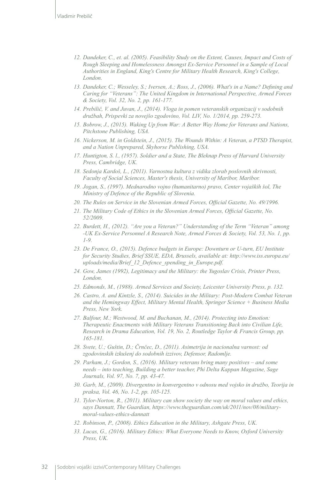- *12. Dandeker, C., et. al. (2005). Feasibility Study on the Extent, Causes, Impact and Costs of Rough Sleeping and Homelessness Amongst Ex-Service Personnel in a Sample of Local Authorities in England, King's Centre for Military Health Research, King's College, London.*
- *13. Dandeker, C.; Wesseley, S.; Iversen, A.; Ross, J., (2006). What's in a Name? Defining and Caring for "Veterans": The United Kingdom in International Perspective, Armed Forces & Society, Vol. 32, No. 2, pp. 161-177.*
- *14. Prebilič, V. and Juvan, J., (2014). Vloga in pomen veteranskih organizacij v sodobnih družbah, Prispevki za novejšo zgodovino, Vol. LIV, No. 1/2014, pp. 259-273.*
- *15. Bobrow, J., (2015). Waking Up from War: A Better Way Home for Veterans and Nations, Pitchstone Publishing, USA.*
- *16. Nickerson, M. in Goldstein, J., (2015). The Wounds Within: A Veteran, a PTSD Therapist, and a Nation Unprepared, Skyhorse Publishing, USA.*
- *17. Huntigton, S. l., (1957). Soldier and a State, The Bleknap Press of Harvard University Press, Cambridge, UK.*
- *18. Sedonja Kardoš, L., (2011). Varnostna kultura z vidika zlorab poslovnih skrivnosti, Faculty of Social Sciences, Master's thesis, University of Maribor, Maribor.*
- *19. Jogan, S., (1997). Mednarodno vojno (humanitarno) pravo, Center vojaških šol, The Ministry of Defence of the Republic of Slovenia.*
- *20. The Rules on Service in the Slovenian Armed Forces, Official Gazette, No. 49/1996.*
- *21. The Military Code of Ethics in the Slovenian Armed Forces, Official Gazette, No. 52/2009.*
- *22. Burdett, H., (2012). "Are you a Veteran?" Understanding of the Term "Veteran" among -UK Ex-Service Personnel A Research Note, Armed Forces & Society, Vol. 53, No. 1, pp. 1-9.*
- *23. De France, O., (2015). Defence budgets in Europe: Downturn or U-turn, EU Institute for Security Studies, Brief SSUE, EDA, Brussels, available at: http://www.iss.europa.eu/ uploads/media/Brief\_12\_Defence\_spending\_in\_Europe.pdf.*
- *24. Gow, James (1992), Legitimacy and the Military: the Yugoslav Crisis, Printer Press, London.*
- *25. Edmonds, M., (1988). Armed Services and Society, Leicester University Press, p. 132.*
- *26. Castro, A. and Kintzle, S., (2014). Suicides in the Military: Post-Modern Combat Veteran and the Hemingway Effect, Military Mental Health, Springer Science + Business Media Press, New York.*
- *27. Balfour, M.; Westwood, M. and Buchanan, M., (2014). Protecting into Emotion: Therapeutic Enactments with Military Veterans Transitioning Back into Civilian Life, Research in Drama Education, Vol. 19, No. 2, Routledge Taylor & Francis Group, pp. 165-181.*
- *28. Svete, U.; Guštin, D.; Črnčec, D., (2011). Asimetrija in nacionalna varnost: od zgodovinskih izkušenj do sodobnih izzivov, Defensor, Radomlje.*
- *29. Parham, J.; Gordon, S., (2016). Military veterans bring many positives and some needs – into teaching, Building a better teacher, Phi Delta Kappan Magazine, Sage Journals, Vol. 97, No. 7, pp. 43-47.*
- *30. Garb, M., (2009). Divergentno in konvergentno v odnosu med vojsko in družbo, Teorija in praksa, Vol. 46, No. 1-2, pp. 105-125.*
- *31. Tylor-Norton, R., (2011). Military can show society the way on moral values and ethics, says Dannatt, The Guardian, https://www.theguardian.com/uk/2011/nov/08/militarymoral-values-ethics-dannatt*
- *32. Robinson, P., (2008). Ethics Education in the Military, Ashgate Press, UK.*
- *33. Lucas, G., (2016). Military Ethics: What Everyone Needs to Know, Oxford University Press, UK.*